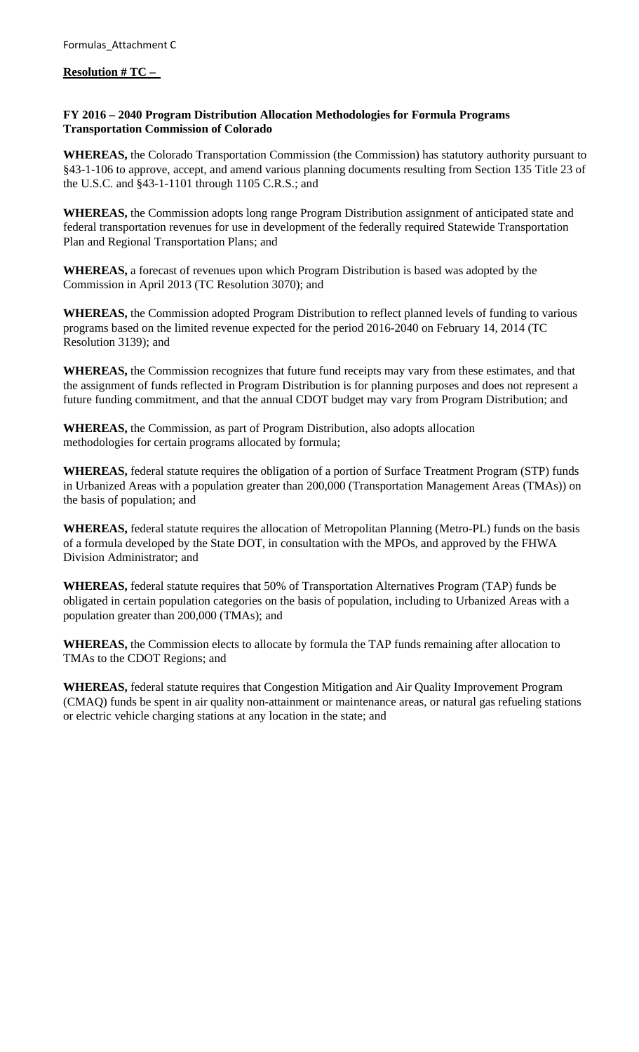**Resolution # TC –** 

## **FY 2016 – 2040 Program Distribution Allocation Methodologies for Formula Programs Transportation Commission of Colorado**

**WHEREAS,** the Colorado Transportation Commission (the Commission) has statutory authority pursuant to §43-1-106 to approve, accept, and amend various planning documents resulting from Section 135 Title 23 of the U.S.C. and §43-1-1101 through 1105 C.R.S.; and

**WHEREAS,** the Commission adopts long range Program Distribution assignment of anticipated state and federal transportation revenues for use in development of the federally required Statewide Transportation Plan and Regional Transportation Plans; and

**WHEREAS,** a forecast of revenues upon which Program Distribution is based was adopted by the Commission in April 2013 (TC Resolution 3070); and

**WHEREAS,** the Commission adopted Program Distribution to reflect planned levels of funding to various programs based on the limited revenue expected for the period 2016-2040 on February 14, 2014 (TC Resolution 3139); and

**WHEREAS,** the Commission recognizes that future fund receipts may vary from these estimates, and that the assignment of funds reflected in Program Distribution is for planning purposes and does not represent a future funding commitment, and that the annual CDOT budget may vary from Program Distribution; and

**WHEREAS,** the Commission, as part of Program Distribution, also adopts allocation methodologies for certain programs allocated by formula;

**WHEREAS,** federal statute requires the obligation of a portion of Surface Treatment Program (STP) funds in Urbanized Areas with a population greater than 200,000 (Transportation Management Areas (TMAs)) on the basis of population; and

**WHEREAS,** federal statute requires the allocation of Metropolitan Planning (Metro-PL) funds on the basis of a formula developed by the State DOT, in consultation with the MPOs, and approved by the FHWA Division Administrator; and

**WHEREAS,** federal statute requires that 50% of Transportation Alternatives Program (TAP) funds be obligated in certain population categories on the basis of population, including to Urbanized Areas with a population greater than 200,000 (TMAs); and

**WHEREAS,** the Commission elects to allocate by formula the TAP funds remaining after allocation to TMAs to the CDOT Regions; and

**WHEREAS,** federal statute requires that Congestion Mitigation and Air Quality Improvement Program (CMAQ) funds be spent in air quality non-attainment or maintenance areas, or natural gas refueling stations or electric vehicle charging stations at any location in the state; and